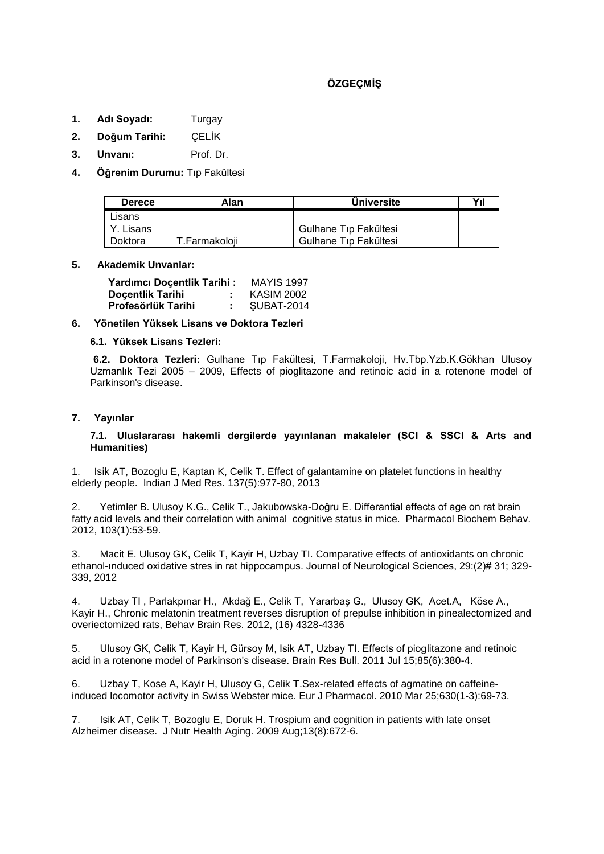# **ÖZGEÇMİŞ**

- **1. Adı Soyadı:** Turgay
- **2. Doğum Tarihi:** ÇELİK
- **3. Unvanı:** Prof. Dr.
- **4. Öğrenim Durumu:** Tıp Fakültesi

| <b>Derece</b> | Alan          | <b>Universite</b>     | Yıl |
|---------------|---------------|-----------------------|-----|
| Lisans        |               |                       |     |
| ≒ Lisans.     |               | Gulhane Tip Fakültesi |     |
| Doktora       | T.Farmakoloii | Gulhane Tip Fakültesi |     |

#### **5. Akademik Unvanlar:**

| Yardımcı Doçentlik Tarihi: | <b>MAYIS 1997</b> |                   |  |
|----------------------------|-------------------|-------------------|--|
| <b>Docentlik Tarihi</b>    |                   | <b>KASIM 2002</b> |  |
| <b>Profesörlük Tarihi</b>  |                   | SUBAT-2014        |  |

## **6. Yönetilen Yüksek Lisans ve Doktora Tezleri**

#### **6.1. Yüksek Lisans Tezleri:**

**6.2. Doktora Tezleri:** Gulhane Tıp Fakültesi, T.Farmakoloji, Hv.Tbp.Yzb.K.Gökhan Ulusoy Uzmanlık Tezi 2005 – 2009, Effects of pioglitazone and retinoic acid in a rotenone model of Parkinson's disease.

## **7. Yayınlar**

#### **7.1. Uluslararası hakemli dergilerde yayınlanan makaleler (SCI & SSCI & Arts and Humanities)**

1. Isik AT, Bozoglu E, Kaptan K, Celik T. Effect of galantamine on platelet functions in healthy elderly people. Indian J Med Res. 137(5):977-80, 2013

2. Yetimler B. Ulusoy K.G., Celik T., Jakubowska-Doğru E. Differantial effects of age on rat brain fatty acid levels and their correlation with animal cognitive status in mice. Pharmacol Biochem Behav. 2012, 103(1):53-59.

3. Macit E. Ulusoy GK, Celik T, Kayir H, Uzbay TI. Comparative effects of antioxidants on chronic ethanol-ınduced oxidative stres in rat hippocampus. Journal of Neurological Sciences, 29:(2)# 31; 329- 339, 2012

4. Uzbay TI , Parlakpınar H., Akdağ E., Celik T, Yararbaş G., Ulusoy GK, Acet.A, Köse A., Kayir H., Chronic melatonin treatment reverses disruption of prepulse inhibition in pinealectomized and overiectomized rats, Behav Brain Res. 2012, (16) 4328-4336

5. Ulusoy GK, Celik T, Kayir H, Gürsoy M, Isik AT, Uzbay TI. Effects of pioglitazone and retinoic acid in a rotenone model of Parkinson's disease. Brain Res Bull. 2011 Jul 15;85(6):380-4.

6. Uzbay T, Kose A, Kayir H, Ulusoy G, Celik T.Sex-related effects of agmatine on caffeineinduced locomotor activity in Swiss Webster mice. Eur J Pharmacol. 2010 Mar 25;630(1-3):69-73.

7. Isik AT, Celik T, Bozoglu E, Doruk H. Trospium and cognition in patients with late onset Alzheimer disease. J Nutr Health Aging. 2009 Aug;13(8):672-6.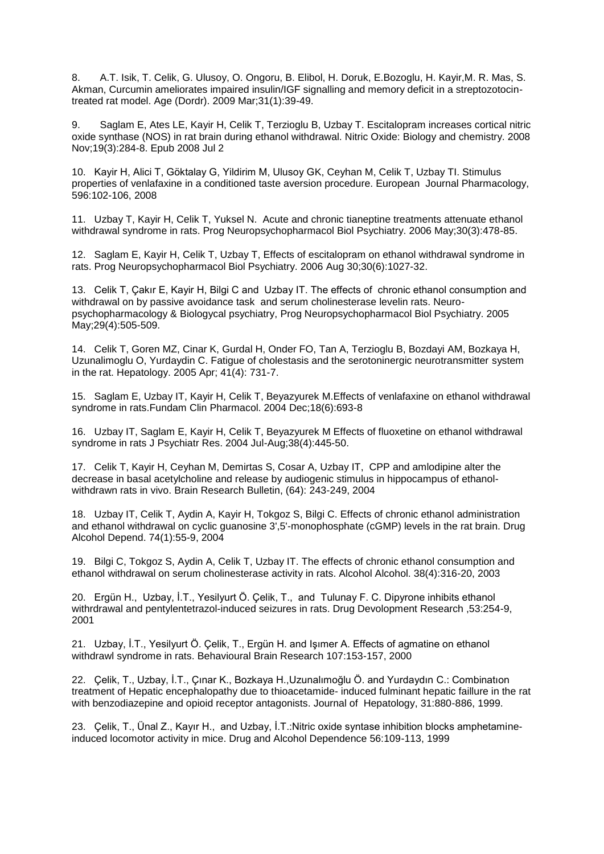8. A.T. Isik, T. Celik, G. Ulusoy, O. Ongoru, B. Elibol, H. Doruk, E.Bozoglu, H. Kayir,M. R. Mas, S. Akman, Curcumin ameliorates impaired insulin/IGF signalling and memory deficit in a streptozotocintreated rat model. Age (Dordr). 2009 Mar;31(1):39-49.

9. Saglam E, Ates LE, Kayir H, Celik T, Terzioglu B, Uzbay T. Escitalopram increases cortical nitric oxide synthase (NOS) in rat brain during ethanol withdrawal. Nitric Oxide: Biology and chemistry. 2008 Nov;19(3):284-8. Epub 2008 Jul 2

10. Kayir H, Alici T, Göktalay G, Yildirim M, Ulusoy GK, Ceyhan M, Celik T, Uzbay TI. Stimulus properties of venlafaxine in a conditioned taste aversion procedure. European Journal Pharmacology, 596:102-106, 2008

11. Uzbay T, Kayir H, Celik T, Yuksel N. Acute and chronic tianeptine treatments attenuate ethanol withdrawal syndrome in rats. Prog Neuropsychopharmacol Biol Psychiatry. 2006 May;30(3):478-85.

12. Saglam E, Kayir H, Celik T, Uzbay T, Effects of escitalopram on ethanol withdrawal syndrome in rats. Prog Neuropsychopharmacol Biol Psychiatry. 2006 Aug 30;30(6):1027-32.

13. Celik T, Çakır E, Kayir H, Bilgi C and Uzbay IT. The effects of chronic ethanol consumption and withdrawal on by passive avoidance task and serum cholinesterase levelin rats. Neuropsychopharmacology & Biologycal psychiatry, Prog Neuropsychopharmacol Biol Psychiatry. 2005 May;29(4):505-509.

14. Celik T, Goren MZ, Cinar K, Gurdal H, Onder FO, Tan A, Terzioglu B, Bozdayi AM, Bozkaya H, Uzunalimoglu O, Yurdaydin C. Fatigue of cholestasis and the serotoninergic neurotransmitter system in the rat. Hepatology. 2005 Apr; 41(4): 731-7.

15. Saglam E, Uzbay IT, Kayir H, Celik T, Beyazyurek M.Effects of venlafaxine on ethanol withdrawal syndrome in rats.Fundam Clin Pharmacol. 2004 Dec;18(6):693-8

16. Uzbay IT, Saglam E, Kayir H, Celik T, Beyazyurek M Effects of fluoxetine on ethanol withdrawal syndrome in rats J Psychiatr Res. 2004 Jul-Aug;38(4):445-50.

17. Celik T, Kayir H, Ceyhan M, Demirtas S, Cosar A, Uzbay IT, CPP and amlodipine alter the decrease in basal acetylcholine and release by audiogenic stimulus in hippocampus of ethanolwithdrawn rats in vivo. Brain Research Bulletin, (64): 243-249, 2004

18. Uzbay IT, Celik T, Aydin A, Kayir H, Tokgoz S, Bilgi C. Effects of chronic ethanol administration and ethanol withdrawal on cyclic guanosine 3',5'-monophosphate (cGMP) levels in the rat brain. Drug Alcohol Depend. 74(1):55-9, 2004

19. Bilgi C, Tokgoz S, Aydin A, Celik T, Uzbay IT. The effects of chronic ethanol consumption and ethanol withdrawal on serum cholinesterase activity in rats. Alcohol Alcohol. 38(4):316-20, 2003

20. Ergün H., Uzbay, İ.T., Yesilyurt Ö. Çelik, T., and Tulunay F. C. Dipyrone inhibits ethanol withrdrawal and pentylentetrazol-induced seizures in rats. Drug Devolopment Research ,53:254-9, 2001

21. Uzbay, İ.T., Yesilyurt Ö. Çelik, T., Ergün H. and Işımer A. Effects of agmatine on ethanol withdrawl syndrome in rats. Behavioural Brain Research 107:153-157, 2000

22. Çelik, T., Uzbay, İ.T., Çınar K., Bozkaya H.,Uzunalımoğlu Ö. and Yurdaydın C.: Combinatıon treatment of Hepatic encephalopathy due to thioacetamide- induced fulminant hepatic faillure in the rat with benzodiazepine and opioid receptor antagonists. Journal of Hepatology, 31:880-886, 1999.

23. Çelik, T., Ünal Z., Kayır H., and Uzbay, İ.T.:Nitric oxide syntase inhibition blocks amphetamineinduced locomotor activity in mice. Drug and Alcohol Dependence 56:109-113, 1999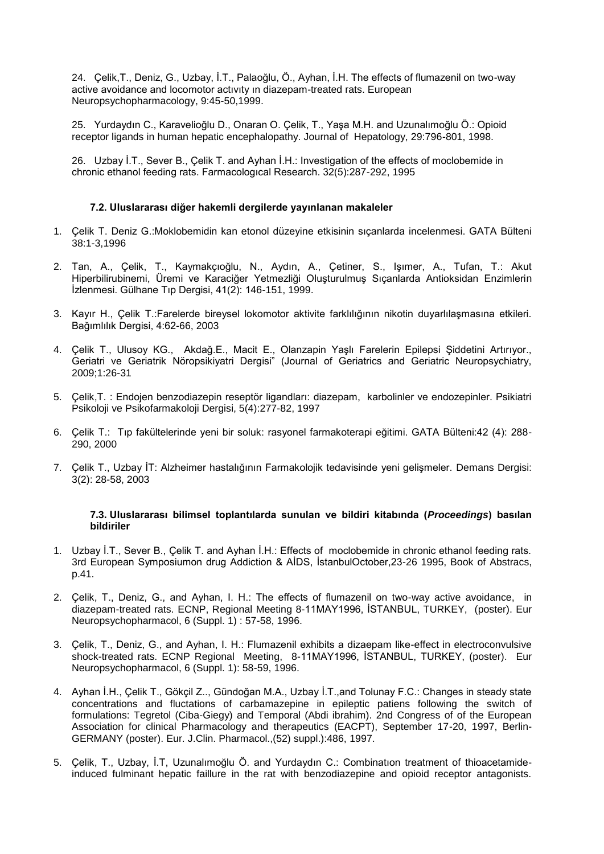24. Çelik,T., Deniz, G., Uzbay, İ.T., Palaoğlu, Ö., Ayhan, İ.H. The effects of flumazenil on two-way active avoidance and locomotor actıvıty ın diazepam-treated rats. European Neuropsychopharmacology, 9:45-50,1999.

25. Yurdaydın C., Karavelioğlu D., Onaran O. Çelik, T., Yaşa M.H. and Uzunalımoğlu Ö.: Opioid receptor ligands in human hepatic encephalopathy. Journal of Hepatology, 29:796-801, 1998.

26. Uzbay İ.T., Sever B., Çelik T. and Ayhan İ.H.: Investigation of the effects of moclobemide in chronic ethanol feeding rats. Farmacologıcal Research. 32(5):287-292, 1995

#### **7.2. Uluslararası diğer hakemli dergilerde yayınlanan makaleler**

- 1. Çelik T. Deniz G.:Moklobemidin kan etonol düzeyine etkisinin sıçanlarda incelenmesi. GATA Bülteni 38:1-3,1996
- 2. Tan, A., Çelik, T., Kaymakçıoğlu, N., Aydın, A., Çetiner, S., Işımer, A., Tufan, T.: Akut Hiperbilirubinemi, Üremi ve Karaciğer Yetmezliği Oluşturulmuş Sıçanlarda Antioksidan Enzimlerin İzlenmesi. Gülhane Tıp Dergisi, 41(2): 146-151, 1999.
- 3. Kayır H., Çelik T.:Farelerde bireysel lokomotor aktivite farklılığının nikotin duyarlılaşmasına etkileri. Bağımlılık Dergisi, 4:62-66, 2003
- 4. Çelik T., Ulusoy KG., Akdağ.E., Macit E., Olanzapin Yaşlı Farelerin Epilepsi Şiddetini Artırıyor., Geriatri ve Geriatrik Nöropsikiyatri Dergisi" (Journal of Geriatrics and Geriatric Neuropsychiatry, 2009;1:26-31
- 5. Çelik,T. : Endojen benzodiazepin reseptör ligandları: diazepam, karbolinler ve endozepinler. Psikiatri Psikoloji ve Psikofarmakoloji Dergisi, 5(4):277-82, 1997
- 6. Çelik T.: Tıp fakültelerinde yeni bir soluk: rasyonel farmakoterapi eğitimi. GATA Bülteni:42 (4): 288- 290, 2000
- 7. Çelik T., Uzbay İT: Alzheimer hastalığının Farmakolojik tedavisinde yeni gelişmeler. Demans Dergisi: 3(2): 28-58, 2003

#### **7.3. Uluslararası bilimsel toplantılarda sunulan ve bildiri kitabında (***Proceedings***) basılan bildiriler**

- 1. Uzbay İ.T., Sever B., Çelik T. and Ayhan İ.H.: Effects of moclobemide in chronic ethanol feeding rats. 3rd European Symposiumon drug Addiction & AİDS, İstanbulOctober,23-26 1995, Book of Abstracs, p.41.
- 2. Çelik, T., Deniz, G., and Ayhan, I. H.: The effects of flumazenil on two-way active avoidance, in diazepam-treated rats. ECNP, Regional Meeting 8-11MAY1996, İSTANBUL, TURKEY, (poster). Eur Neuropsychopharmacol, 6 (Suppl. 1) : 57-58, 1996.
- 3. Çelik, T., Deniz, G., and Ayhan, I. H.: Flumazenil exhibits a dizaepam like-effect in electroconvulsive shock-treated rats. ECNP Regional Meeting, 8-11MAY1996, İSTANBUL, TURKEY, (poster). Eur Neuropsychopharmacol, 6 (Suppl. 1): 58-59, 1996.
- 4. Ayhan İ.H., Çelik T., Gökçil Z.., Gündoğan M.A., Uzbay İ.T.,and Tolunay F.C.: Changes in steady state concentrations and fluctations of carbamazepine in epileptic patiens following the switch of formulations: Tegretol (Ciba-Giegy) and Temporal (Abdi ibrahim). 2nd Congress of of the European Association for clinical Pharmacology and therapeutics (EACPT), September 17-20, 1997, Berlin-GERMANY (poster). Eur. J.Clin. Pharmacol.,(52) suppl.):486, 1997.
- 5. Çelik, T., Uzbay, İ.T, Uzunalımoğlu Ö. and Yurdaydın C.: Combinatıon treatment of thioacetamideinduced fulminant hepatic faillure in the rat with benzodiazepine and opioid receptor antagonists.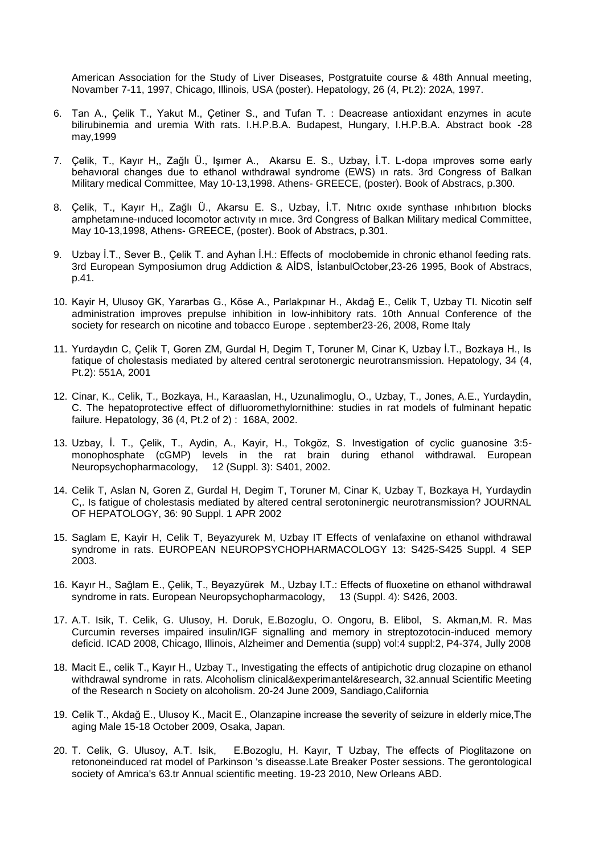American Association for the Study of Liver Diseases, Postgratuite course & 48th Annual meeting, Novamber 7-11, 1997, Chicago, Illinois, USA (poster). Hepatology, 26 (4, Pt.2): 202A, 1997.

- 6. Tan A., Çelik T., Yakut M., Çetiner S., and Tufan T. : Deacrease antioxidant enzymes in acute bilirubinemia and uremia With rats. I.H.P.B.A. Budapest, Hungary, I.H.P.B.A. Abstract book -28 may,1999
- 7. Çelik, T., Kayır H,, Zağlı Ü., Işımer A., Akarsu E. S., Uzbay, İ.T. L-dopa ımproves some early behavıoral changes due to ethanol wıthdrawal syndrome (EWS) ın rats. 3rd Congress of Balkan Military medical Committee, May 10-13,1998. Athens- GREECE, (poster). Book of Abstracs, p.300.
- 8. Çelik, T., Kayır H,, Zağlı Ü., Akarsu E. S., Uzbay, İ.T. Nıtrıc oxıde synthase ınhıbıtıon blocks amphetamıne-ınduced locomotor actıvıty ın mıce. 3rd Congress of Balkan Military medical Committee, May 10-13,1998, Athens- GREECE, (poster). Book of Abstracs, p.301.
- 9. Uzbay İ.T., Sever B., Çelik T. and Ayhan İ.H.: Effects of moclobemide in chronic ethanol feeding rats. 3rd European Symposiumon drug Addiction & AİDS, İstanbulOctober,23-26 1995, Book of Abstracs, p.41.
- 10. Kayir H, Ulusoy GK, Yararbas G., Köse A., Parlakpınar H., Akdağ E., Celik T, Uzbay TI. Nicotin self administration improves prepulse inhibition in low-inhibitory rats. 10th Annual Conference of the society for research on nicotine and tobacco Europe . september23-26, 2008, Rome Italy
- 11. Yurdaydın C, Çelik T, Goren ZM, Gurdal H, Degim T, Toruner M, Cinar K, Uzbay İ.T., Bozkaya H., Is fatique of cholestasis mediated by altered central serotonergic neurotransmission. Hepatology, 34 (4, Pt.2): 551A, 2001
- 12. Cinar, K., Celik, T., Bozkaya, H., Karaaslan, H., Uzunalimoglu, O., Uzbay, T., Jones, A.E., Yurdaydin, C. The hepatoprotective effect of difluoromethylornithine: studies in rat models of fulminant hepatic failure. Hepatology, 36 (4, Pt.2 of 2) : 168A, 2002.
- 13. Uzbay, İ. T., Çelik, T., Aydin, A., Kayir, H., Tokgöz, S. Investigation of cyclic guanosine 3:5 monophosphate (cGMP) levels in the rat brain during ethanol withdrawal. European Neuropsychopharmacology, 12 (Suppl. 3): S401, 2002.
- 14. Celik T, Aslan N, Goren Z, Gurdal H, Degim T, Toruner M, Cinar K, Uzbay T, Bozkaya H, Yurdaydin C,. Is fatigue of cholestasis mediated by altered central serotoninergic neurotransmission? JOURNAL OF HEPATOLOGY, 36: 90 Suppl. 1 APR 2002
- 15. Saglam E, Kayir H, Celik T, Beyazyurek M, Uzbay IT Effects of venlafaxine on ethanol withdrawal syndrome in rats. EUROPEAN NEUROPSYCHOPHARMACOLOGY 13: S425-S425 Suppl. 4 SEP 2003.
- 16. Kayır H., Sağlam E., Çelik, T., Beyazyürek M., Uzbay I.T.: Effects of fluoxetine on ethanol withdrawal syndrome in rats. European Neuropsychopharmacology, 13 (Suppl. 4): S426, 2003.
- 17. A.T. Isik, T. Celik, G. Ulusoy, H. Doruk, E.Bozoglu, O. Ongoru, B. Elibol, S. Akman,M. R. Mas Curcumin reverses impaired insulin/IGF signalling and memory in streptozotocin-induced memory deficid. ICAD 2008, Chicago, Illinois, Alzheimer and Dementia (supp) vol:4 suppl:2, P4-374, Jully 2008
- 18. Macit E., celik T., Kayır H., Uzbay T., Investigating the effects of antipichotic drug clozapine on ethanol withdrawal syndrome in rats. Alcoholism clinical&experimantel&research, 32.annual Scientific Meeting of the Research n Society on alcoholism. 20-24 June 2009, Sandiago,California
- 19. Celik T., Akdağ E., Ulusoy K., Macit E., Olanzapine increase the severity of seizure in elderly mice,The aging Male 15-18 October 2009, Osaka, Japan.
- 20. T. Celik, G. Ulusoy, A.T. Isik, E.Bozoglu, H. Kayır, T Uzbay, The effects of Pioglitazone on retononeinduced rat model of Parkinson 's diseasse.Late Breaker Poster sessions. The gerontological society of Amrica's 63.tr Annual scientific meeting. 19-23 2010, New Orleans ABD.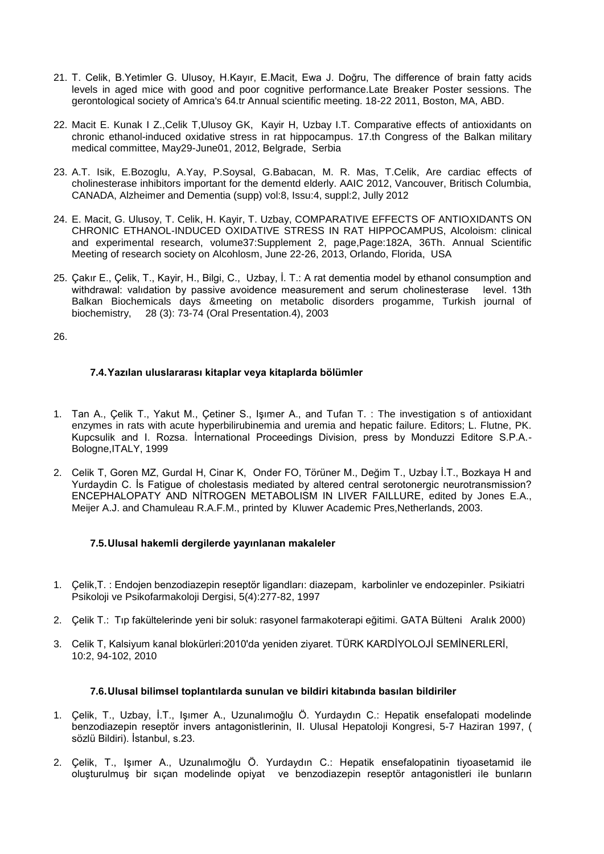- 21. T. Celik, B.Yetimler G. Ulusoy, H.Kayır, E.Macit, Ewa J. Doğru, The difference of brain fatty acids levels in aged mice with good and poor cognitive performance.Late Breaker Poster sessions. The gerontological society of Amrica's 64.tr Annual scientific meeting. 18-22 2011, Boston, MA, ABD.
- 22. Macit E. Kunak I Z.,Celik T,Ulusoy GK, Kayir H, Uzbay I.T. Comparative effects of antioxidants on chronic ethanol-induced oxidative stress in rat hippocampus. 17.th Congress of the Balkan military medical committee, May29-June01, 2012, Belgrade, Serbia
- 23. A.T. Isik, E.Bozoglu, A.Yay, P.Soysal, G.Babacan, M. R. Mas, T.Celik, Are cardiac effects of cholinesterase inhibitors important for the dementd elderly. AAIC 2012, Vancouver, Britisch Columbia, CANADA, Alzheimer and Dementia (supp) vol:8, Issu:4, suppl:2, Jully 2012
- 24. E. Macit, G. Ulusoy, T. Celik, H. Kayir, T. Uzbay, COMPARATIVE EFFECTS OF ANTIOXIDANTS ON CHRONIC ETHANOL-INDUCED OXIDATIVE STRESS IN RAT HIPPOCAMPUS, Alcoloism: clinical and experimental research, volume37:Supplement 2, page,Page:182A, 36Th. Annual Scientific Meeting of research society on Alcohlosm, June 22-26, 2013, Orlando, Florida, USA
- 25. Çakır E., Çelik, T., Kayir, H., Bilgi, C., Uzbay, İ. T.: A rat dementia model by ethanol consumption and withdrawal: validation by passive avoidence measurement and serum cholinesterase level. 13th Balkan Biochemicals days &meeting on metabolic disorders progamme, Turkish journal of biochemistry, 28 (3): 73-74 (Oral Presentation.4), 2003

26.

# **7.4.Yazılan uluslararası kitaplar veya kitaplarda bölümler**

- 1. Tan A., Çelik T., Yakut M., Çetiner S., Işımer A., and Tufan T. : The investigation s of antioxidant enzymes in rats with acute hyperbilirubinemia and uremia and hepatic failure. Editors; L. Flutne, PK. Kupcsulik and I. Rozsa. İnternational Proceedings Division, press by Monduzzi Editore S.P.A.- Bologne,ITALY, 1999
- 2. Celik T, Goren MZ, Gurdal H, Cinar K, Onder FO, Törüner M., Değim T., Uzbay İ.T., Bozkaya H and Yurdaydin C. İs Fatigue of cholestasis mediated by altered central serotonergic neurotransmission? ENCEPHALOPATY AND NİTROGEN METABOLISM IN LIVER FAILLURE, edited by Jones E.A., Meijer A.J. and Chamuleau R.A.F.M., printed by Kluwer Academic Pres,Netherlands, 2003.

#### **7.5.Ulusal hakemli dergilerde yayınlanan makaleler**

- 1. Çelik,T. : Endojen benzodiazepin reseptör ligandları: diazepam, karbolinler ve endozepinler. Psikiatri Psikoloji ve Psikofarmakoloji Dergisi, 5(4):277-82, 1997
- 2. Çelik T.: Tıp fakültelerinde yeni bir soluk: rasyonel farmakoterapi eğitimi. GATA Bülteni Aralık 2000)
- 3. Celik T, Kalsiyum kanal blokürleri:2010'da yeniden ziyaret. TÜRK KARDİYOLOJİ SEMİNERLERİ, 10:2, 94-102, 2010

#### **7.6.Ulusal bilimsel toplantılarda sunulan ve bildiri kitabında basılan bildiriler**

- 1. Çelik, T., Uzbay, İ.T., Işımer A., Uzunalımoğlu Ö. Yurdaydın C.: Hepatik ensefalopati modelinde benzodiazepin reseptör invers antagonistlerinin, II. Ulusal Hepatoloji Kongresi, 5-7 Haziran 1997, ( sözlü Bildiri). İstanbul, s.23.
- 2. Çelik, T., Işımer A., Uzunalımoğlu Ö. Yurdaydın C.: Hepatik ensefalopatinin tiyoasetamid ile oluşturulmuş bir sıçan modelinde opiyat ve benzodiazepin reseptör antagonistleri ile bunların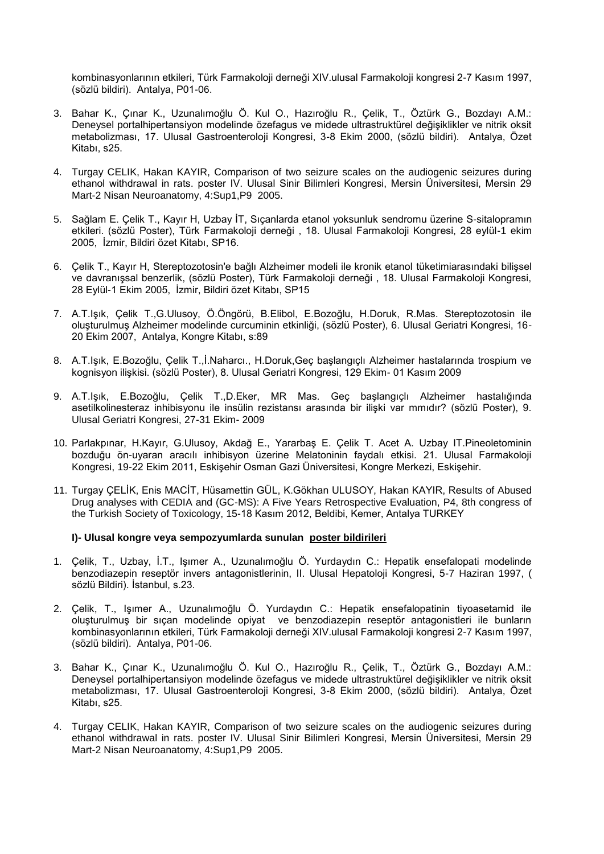kombinasyonlarının etkileri, Türk Farmakoloji derneği XIV.ulusal Farmakoloji kongresi 2-7 Kasım 1997, (sözlü bildiri). Antalya, P01-06.

- 3. Bahar K., Çınar K., Uzunalımoğlu Ö. Kul O., Hazıroğlu R., Çelik, T., Öztürk G., Bozdayı A.M.: Deneysel portalhipertansiyon modelinde özefagus ve midede ultrastruktürel değişiklikler ve nitrik oksit metabolizması, 17. Ulusal Gastroenteroloji Kongresi, 3-8 Ekim 2000, (sözlü bildiri). Antalya, Özet Kitabı, s25.
- 4. Turgay CELIK, Hakan KAYIR, Comparison of two seizure scales on the audiogenic seizures during ethanol withdrawal in rats. poster IV. Ulusal Sinir Bilimleri Kongresi, Mersin Üniversitesi, Mersin 29 Mart-2 Nisan Neuroanatomy, 4:Sup1,P9 2005.
- 5. Sağlam E. Çelik T., Kayır H, Uzbay İT, Sıçanlarda etanol yoksunluk sendromu üzerine S-sitalopramın etkileri. (sözlü Poster), Türk Farmakoloji derneği , 18. Ulusal Farmakoloji Kongresi, 28 eylül-1 ekim 2005, İzmir, Bildiri özet Kitabı, SP16.
- 6. Çelik T., Kayır H, Stereptozotosin'e bağlı Alzheimer modeli ile kronik etanol tüketimiarasındaki bilişsel ve davranışsal benzerlik, (sözlü Poster), Türk Farmakoloji derneği , 18. Ulusal Farmakoloji Kongresi, 28 Eylül-1 Ekim 2005, İzmir, Bildiri özet Kitabı, SP15
- 7. A.T.Işık, Çelik T.,G.Ulusoy, Ö.Öngörü, B.Elibol, E.Bozoğlu, H.Doruk, R.Mas. Stereptozotosin ile oluşturulmuş Alzheimer modelinde curcuminin etkinliği, (sözlü Poster), 6. Ulusal Geriatri Kongresi, 16- 20 Ekim 2007, Antalya, Kongre Kitabı, s:89
- 8. A.T.Işık, E.Bozoğlu, Çelik T.,İ.Naharcı., H.Doruk,Geç başlangıçlı Alzheimer hastalarında trospium ve kognisyon ilişkisi. (sözlü Poster), 8. Ulusal Geriatri Kongresi, 129 Ekim- 01 Kasım 2009
- 9. A.T.Işık, E.Bozoğlu, Çelik T.,D.Eker, MR Mas. Geç başlangıçlı Alzheimer hastalığında asetilkolinesteraz inhibisyonu ile insülin rezistansı arasında bir ilişki var mmıdır? (sözlü Poster), 9. Ulusal Geriatri Kongresi, 27-31 Ekim- 2009
- 10. Parlakpınar, H.Kayır, G.Ulusoy, Akdağ E., Yararbaş E. Çelik T. Acet A. Uzbay IT.Pineoletominin bozduğu ön-uyaran aracılı inhibisyon üzerine Melatoninin faydalı etkisi. 21. Ulusal Farmakoloji Kongresi, 19-22 Ekim 2011, Eskişehir Osman Gazi Üniversitesi, Kongre Merkezi, Eskişehir.
- 11. Turgay ÇELİK, Enis MACİT, Hüsamettin GÜL, K.Gökhan ULUSOY, Hakan KAYIR, Results of Abused Drug analyses with CEDIA and (GC-MS): A Five Years Retrospective Evaluation, P4, 8th congress of the Turkish Society of Toxicology, 15-18 Kasım 2012, Beldibi, Kemer, Antalya TURKEY

#### **I)- Ulusal kongre veya sempozyumlarda sunulan poster bildirileri**

- 1. Çelik, T., Uzbay, İ.T., Işımer A., Uzunalımoğlu Ö. Yurdaydın C.: Hepatik ensefalopati modelinde benzodiazepin reseptör invers antagonistlerinin, II. Ulusal Hepatoloji Kongresi, 5-7 Haziran 1997, ( sözlü Bildiri). İstanbul, s.23.
- 2. Çelik, T., Işımer A., Uzunalımoğlu Ö. Yurdaydın C.: Hepatik ensefalopatinin tiyoasetamid ile oluşturulmuş bir sıçan modelinde opiyat ve benzodiazepin reseptör antagonistleri ile bunların kombinasyonlarının etkileri, Türk Farmakoloji derneği XIV.ulusal Farmakoloji kongresi 2-7 Kasım 1997, (sözlü bildiri). Antalya, P01-06.
- 3. Bahar K., Çınar K., Uzunalımoğlu Ö. Kul O., Hazıroğlu R., Çelik, T., Öztürk G., Bozdayı A.M.: Deneysel portalhipertansiyon modelinde özefagus ve midede ultrastruktürel değişiklikler ve nitrik oksit metabolizması, 17. Ulusal Gastroenteroloji Kongresi, 3-8 Ekim 2000, (sözlü bildiri). Antalya, Özet Kitabı, s25.
- 4. Turgay CELIK, Hakan KAYIR, Comparison of two seizure scales on the audiogenic seizures during ethanol withdrawal in rats. poster IV. Ulusal Sinir Bilimleri Kongresi, Mersin Üniversitesi, Mersin 29 Mart-2 Nisan Neuroanatomy, 4:Sup1,P9 2005.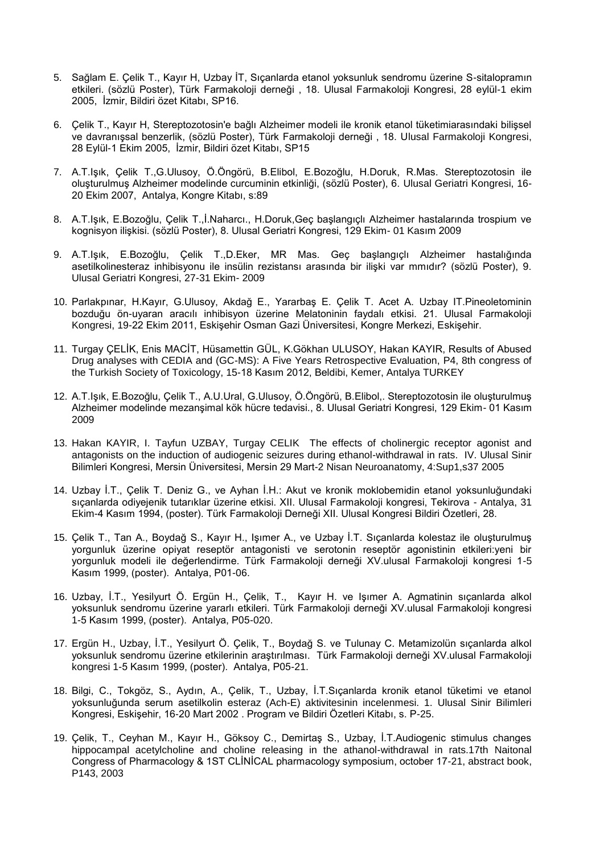- 5. Sağlam E. Çelik T., Kayır H, Uzbay İT, Sıçanlarda etanol yoksunluk sendromu üzerine S-sitalopramın etkileri. (sözlü Poster), Türk Farmakoloji derneği , 18. Ulusal Farmakoloji Kongresi, 28 eylül-1 ekim 2005, İzmir, Bildiri özet Kitabı, SP16.
- 6. Çelik T., Kayır H, Stereptozotosin'e bağlı Alzheimer modeli ile kronik etanol tüketimiarasındaki bilişsel ve davranışsal benzerlik, (sözlü Poster), Türk Farmakoloji derneği , 18. Ulusal Farmakoloji Kongresi, 28 Eylül-1 Ekim 2005, İzmir, Bildiri özet Kitabı, SP15
- 7. A.T.Işık, Çelik T.,G.Ulusoy, Ö.Öngörü, B.Elibol, E.Bozoğlu, H.Doruk, R.Mas. Stereptozotosin ile oluşturulmuş Alzheimer modelinde curcuminin etkinliği, (sözlü Poster), 6. Ulusal Geriatri Kongresi, 16- 20 Ekim 2007, Antalya, Kongre Kitabı, s:89
- 8. A.T.Işık, E.Bozoğlu, Çelik T.,İ.Naharcı., H.Doruk,Geç başlangıçlı Alzheimer hastalarında trospium ve kognisyon ilişkisi. (sözlü Poster), 8. Ulusal Geriatri Kongresi, 129 Ekim- 01 Kasım 2009
- 9. A.T.Işık, E.Bozoğlu, Çelik T.,D.Eker, MR Mas. Geç başlangıçlı Alzheimer hastalığında asetilkolinesteraz inhibisyonu ile insülin rezistansı arasında bir ilişki var mmıdır? (sözlü Poster), 9. Ulusal Geriatri Kongresi, 27-31 Ekim- 2009
- 10. Parlakpınar, H.Kayır, G.Ulusoy, Akdağ E., Yararbaş E. Çelik T. Acet A. Uzbay IT.Pineoletominin bozduğu ön-uyaran aracılı inhibisyon üzerine Melatoninin faydalı etkisi. 21. Ulusal Farmakoloji Kongresi, 19-22 Ekim 2011, Eskişehir Osman Gazi Üniversitesi, Kongre Merkezi, Eskişehir.
- 11. Turgay ÇELİK, Enis MACİT, Hüsamettin GÜL, K.Gökhan ULUSOY, Hakan KAYIR, Results of Abused Drug analyses with CEDIA and (GC-MS): A Five Years Retrospective Evaluation, P4, 8th congress of the Turkish Society of Toxicology, 15-18 Kasım 2012, Beldibi, Kemer, Antalya TURKEY
- 12. A.T.Işık, E.Bozoğlu, Çelik T., A.U.Ural, G.Ulusoy, Ö.Öngörü, B.Elibol,. Stereptozotosin ile oluşturulmuş Alzheimer modelinde mezanşimal kök hücre tedavisi., 8. Ulusal Geriatri Kongresi, 129 Ekim- 01 Kasım 2009
- 13. Hakan KAYIR, I. Tayfun UZBAY, Turgay CELIK The effects of cholinergic receptor agonist and antagonists on the induction of audiogenic seizures during ethanol-withdrawal in rats. IV. Ulusal Sinir Bilimleri Kongresi, Mersin Üniversitesi, Mersin 29 Mart-2 Nisan Neuroanatomy, 4:Sup1,s37 2005
- 14. Uzbay İ.T., Çelik T. Deniz G., ve Ayhan İ.H.: Akut ve kronik moklobemidin etanol yoksunluğundaki sıçanlarda odiyejenik tutarıklar üzerine etkisi. XII. Ulusal Farmakoloji kongresi, Tekirova - Antalya, 31 Ekim-4 Kasım 1994, (poster). Türk Farmakoloji Derneği XII. Ulusal Kongresi Bildiri Özetleri, 28.
- 15. Çelik T., Tan A., Boydağ S., Kayır H., Işımer A., ve Uzbay İ.T. Sıçanlarda kolestaz ile oluşturulmuş yorgunluk üzerine opiyat reseptör antagonisti ve serotonin reseptör agonistinin etkileri:yeni bir yorgunluk modeli ile değerlendirme. Türk Farmakoloji derneği XV.ulusal Farmakoloji kongresi 1-5 Kasım 1999, (poster). Antalya, P01-06.
- 16. Uzbay, İ.T., Yesilyurt Ö. Ergün H., Çelik, T., Kayır H. ve Işımer A. Agmatinin sıçanlarda alkol yoksunluk sendromu üzerine yararlı etkileri. Türk Farmakoloji derneği XV.ulusal Farmakoloji kongresi 1-5 Kasım 1999, (poster). Antalya, P05-020.
- 17. Ergün H., Uzbay, İ.T., Yesilyurt Ö. Çelik, T., Boydağ S. ve Tulunay C. Metamizolün sıçanlarda alkol yoksunluk sendromu üzerine etkilerinin araştırılması. Türk Farmakoloji derneği XV.ulusal Farmakoloji kongresi 1-5 Kasım 1999, (poster). Antalya, P05-21.
- 18. Bilgi, C., Tokgöz, S., Aydın, A., Çelik, T., Uzbay, İ.T.Sıçanlarda kronik etanol tüketimi ve etanol yoksunluğunda serum asetilkolin esteraz (Ach-E) aktivitesinin incelenmesi. 1. Ulusal Sinir Bilimleri Kongresi, Eskişehir, 16-20 Mart 2002 . Program ve Bildiri Özetleri Kitabı, s. P-25.
- 19. Çelik, T., Ceyhan M., Kayır H., Göksoy C., Demirtaş S., Uzbay, İ.T.Audiogenic stimulus changes hippocampal acetylcholine and choline releasing in the athanol-withdrawal in rats.17th Naitonal Congress of Pharmacology & 1ST CLİNİCAL pharmacology symposium, october 17-21, abstract book, P143, 2003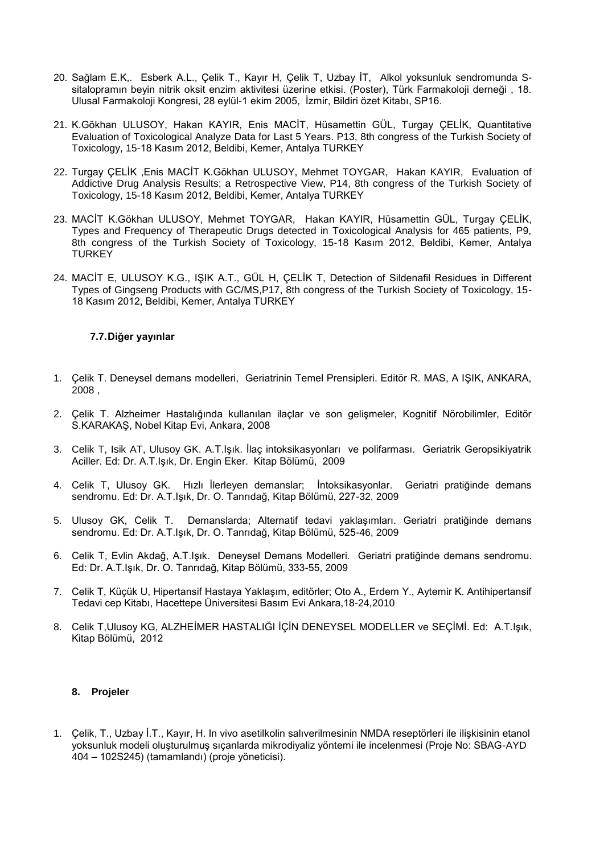- 20. Sağlam E.K,. Esberk A.L., Çelik T., Kayır H, Çelik T, Uzbay İT, Alkol yoksunluk sendromunda Ssitalopramın beyin nitrik oksit enzim aktivitesi üzerine etkisi. (Poster), Türk Farmakoloji derneği , 18. Ulusal Farmakoloji Kongresi, 28 eylül-1 ekim 2005, İzmir, Bildiri özet Kitabı, SP16.
- 21. K.Gökhan ULUSOY, Hakan KAYIR, Enis MACİT, Hüsamettin GÜL, Turgay ÇELİK, Quantitative Evaluation of Toxicological Analyze Data for Last 5 Years. P13, 8th congress of the Turkish Society of Toxicology, 15-18 Kasım 2012, Beldibi, Kemer, Antalya TURKEY
- 22. Turgay ÇELİK ,Enis MACİT K.Gökhan ULUSOY, Mehmet TOYGAR, Hakan KAYIR, Evaluation of Addictive Drug Analysis Results; a Retrospective View, P14, 8th congress of the Turkish Society of Toxicology, 15-18 Kasım 2012, Beldibi, Kemer, Antalya TURKEY
- 23. MACİT K.Gökhan ULUSOY, Mehmet TOYGAR, Hakan KAYIR, Hüsamettin GÜL, Turgay ÇELİK, Types and Frequency of Therapeutic Drugs detected in Toxicological Analysis for 465 patients, P9, 8th congress of the Turkish Society of Toxicology, 15-18 Kasım 2012, Beldibi, Kemer, Antalya **TURKEY**
- 24. MACİT E, ULUSOY K.G., IŞIK A.T., GÜL H, ÇELİK T, Detection of Sildenafil Residues in Different Types of Gingseng Products with GC/MS,P17, 8th congress of the Turkish Society of Toxicology, 15- 18 Kasım 2012, Beldibi, Kemer, Antalya TURKEY

## **7.7.Diğer yayınlar**

- 1. Çelik T. Deneysel demans modelleri, Geriatrinin Temel Prensipleri. Editör R. MAS, A IŞIK, ANKARA, 2008 ,
- 2. Çelik T. Alzheimer Hastalığında kullanılan ilaçlar ve son gelişmeler, Kognitif Nörobilimler, Editör S.KARAKAŞ, Nobel Kitap Evi, Ankara, 2008
- 3. Celik T, Isik AT, Ulusoy GK. A.T.Işık. İlaç intoksikasyonları ve polifarması. Geriatrik Geropsikiyatrik Aciller. Ed: Dr. A.T.Işık, Dr. Engin Eker. Kitap Bölümü, 2009
- 4. Celik T, Ulusoy GK. Hızlı İlerleyen demanslar; İntoksikasyonlar. Geriatri pratiğinde demans sendromu. Ed: Dr. A.T.Işık, Dr. O. Tanrıdağ, Kitap Bölümü, 227-32, 2009
- 5. Ulusoy GK, Celik T. Demanslarda; Alternatif tedavi yaklaşımları. Geriatri pratiğinde demans sendromu. Ed: Dr. A.T.Işık, Dr. O. Tanrıdağ, Kitap Bölümü, 525-46, 2009
- 6. Celik T, Evlin Akdağ, A.T.Işık. Deneysel Demans Modelleri. Geriatri pratiğinde demans sendromu. Ed: Dr. A.T.Işık, Dr. O. Tanrıdağ, Kitap Bölümü, 333-55, 2009
- 7. Celik T, Küçük U, Hipertansif Hastaya Yaklaşım, editörler; Oto A., Erdem Y., Aytemir K. Antihipertansif Tedavi cep Kitabı, Hacettepe Üniversitesi Basım Evi Ankara,18-24,2010
- 8. Celik T,Ulusoy KG, ALZHEİMER HASTALIĞI İÇİN DENEYSEL MODELLER ve SEÇİMİ. Ed: A.T.Işık, Kitap Bölümü, 2012

#### **8. Projeler**

1. Çelik, T., Uzbay İ.T., Kayır, H. In vivo asetilkolin salıverilmesinin NMDA reseptörleri ile ilişkisinin etanol yoksunluk modeli oluşturulmuş sıçanlarda mikrodiyaliz yöntemi ile incelenmesi (Proje No: SBAG-AYD 404 – 102S245) (tamamlandı) (proje yöneticisi).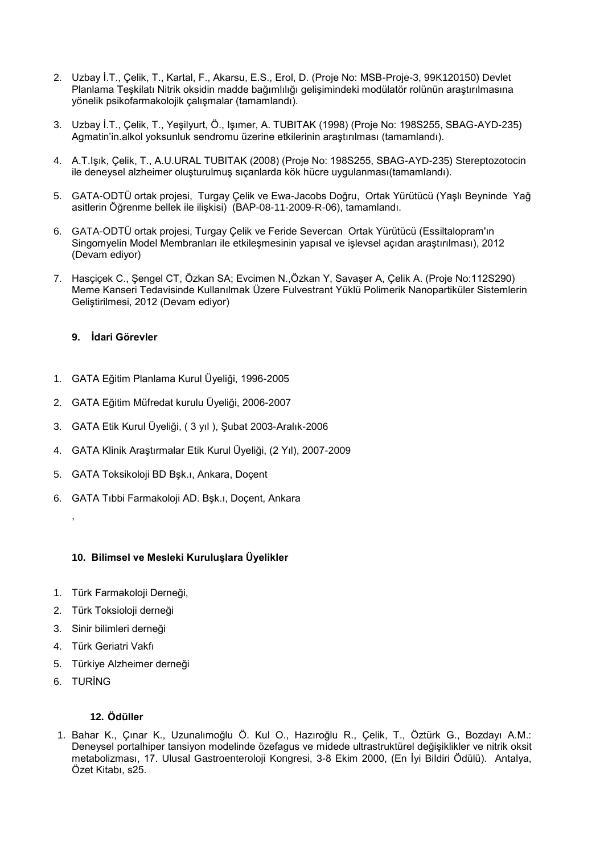- 2. Uzbay İ.T., Çelik, T., Kartal, F., Akarsu, E.S., Erol, D. (Proje No: MSB-Proje-3, 99K120150) Devlet Planlama Teşkilatı Nitrik oksidin madde bağımlılığı gelişimindeki modülatör rolünün araştırılmasına yönelik psikofarmakolojik çalışmalar (tamamlandı).
- 3. Uzbay İ.T., Çelik, T., Yeşilyurt, Ö., Işımer, A. TUBITAK (1998) (Proje No: 198S255, SBAG-AYD-235) Agmatin'in.alkol yoksunluk sendromu üzerine etkilerinin araştırılması (tamamlandı).
- 4. A.T.Işık, Çelik, T., A.U.URAL TUBITAK (2008) (Proje No: 198S255, SBAG-AYD-235) Stereptozotocin ile deneysel alzheimer oluşturulmuş sıçanlarda kök hücre uygulanması(tamamlandı).
- 5. GATA-ODTÜ ortak projesi, Turgay Çelik ve Ewa-Jacobs Doğru, Ortak Yürütücü (Yaşlı Beyninde Yağ asitlerin Öğrenme bellek ile ilişkisi) (BAP-08-11-2009-R-06), tamamlandı.
- 6. GATA-ODTÜ ortak projesi, Turgay Çelik ve Feride Severcan Ortak Yürütücü (Essiltalopram'ın Singomyelin Model Membranları ile etkileşmesinin yapısal ve işlevsel açıdan araştırılması), 2012 (Devam ediyor)
- 7. Hasçiçek C., Şengel CT, Özkan SA; Evcimen N.,Özkan Y, Savaşer A, Çelik A. (Proje No:112S290) Meme Kanseri Tedavisinde Kullanılmak Üzere Fulvestrant Yüklü Polimerik Nanopartiküler Sistemlerin Geliştirilmesi, 2012 (Devam ediyor)

# **9. İdari Görevler**

- 1. GATA Eğitim Planlama Kurul Üyeliği, 1996-2005
- 2. GATA Eğitim Müfredat kurulu Üyeliği, 2006-2007
- 3. GATA Etik Kurul Üyeliği, ( 3 yıl ), Şubat 2003-Aralık-2006
- 4. GATA Klinik Araştırmalar Etik Kurul Üyeliği, (2 Yıl), 2007-2009
- 5. GATA Toksikoloji BD Bşk.ı, Ankara, Doçent
- 6. GATA Tıbbi Farmakoloji AD. Bşk.ı, Doçent, Ankara

# **10. Bilimsel ve Mesleki Kuruluşlara Üyelikler**

- 1. Türk Farmakoloji Derneği,
- 2. Türk Toksioloji derneği
- 3. Sinir bilimleri derneği
- 4. Türk Geriatri Vakfı
- 5. Türkiye Alzheimer derneği
- 6. TURİNG

,

# **12. Ödüller**

1. Bahar K., Çınar K., Uzunalımoğlu Ö. Kul O., Hazıroğlu R., Çelik, T., Öztürk G., Bozdayı A.M.: Deneysel portalhiper tansiyon modelinde özefagus ve midede ultrastruktürel değişiklikler ve nitrik oksit metabolizması, 17. Ulusal Gastroenteroloji Kongresi, 3-8 Ekim 2000, (En İyi Bildiri Ödülü). Antalya, Özet Kitabı, s25.